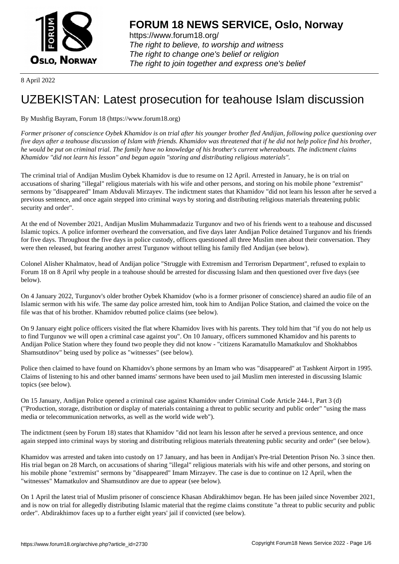

https://www.forum18.org/ The right to believe, to worship and witness The right to change one's belief or religion [The right to join together a](https://www.forum18.org/)nd express one's belief

8 April 2022

## [UZBEKISTAN:](https://www.forum18.org) Latest prosecution for teahouse Islam discussion

## By Mushfig Bayram, Forum 18 (https://www.forum18.org)

*Former prisoner of conscience Oybek Khamidov is on trial after his younger brother fled Andijan, following police questioning over five days after a teahouse discussion of Islam with friends. Khamidov was threatened that if he did not help police find his brother, he would be put on criminal trial. The family have no knowledge of his brother's current whereabouts. The indictment claims Khamidov "did not learn his lesson" and began again "storing and distributing religious materials".*

The criminal trial of Andijan Muslim Oybek Khamidov is due to resume on 12 April. Arrested in January, he is on trial on accusations of sharing "illegal" religious materials with his wife and other persons, and storing on his mobile phone "extremist" sermons by "disappeared" Imam Abduvali Mirzayev. The indictment states that Khamidov "did not learn his lesson after he served a previous sentence, and once again stepped into criminal ways by storing and distributing religious materials threatening public security and order".

At the end of November 2021, Andijan Muslim Muhammadaziz Turgunov and two of his friends went to a teahouse and discussed Islamic topics. A police informer overheard the conversation, and five days later Andijan Police detained Turgunov and his friends for five days. Throughout the five days in police custody, officers questioned all three Muslim men about their conversation. They were then released, but fearing another arrest Turgunov without telling his family fled Andijan (see below).

Colonel Alisher Khalmatov, head of Andijan police "Struggle with Extremism and Terrorism Department", refused to explain to Forum 18 on 8 April why people in a teahouse should be arrested for discussing Islam and then questioned over five days (see below).

On 4 January 2022, Turgunov's older brother Oybek Khamidov (who is a former prisoner of conscience) shared an audio file of an Islamic sermon with his wife. The same day police arrested him, took him to Andijan Police Station, and claimed the voice on the file was that of his brother. Khamidov rebutted police claims (see below).

On 9 January eight police officers visited the flat where Khamidov lives with his parents. They told him that "if you do not help us to find Turgunov we will open a criminal case against you". On 10 January, officers summoned Khamidov and his parents to Andijan Police Station where they found two people they did not know - "citizens Karamatullo Mamatkulov and Shokhabbos Shamsutdinov" being used by police as "witnesses" (see below).

Police then claimed to have found on Khamidov's phone sermons by an Imam who was "disappeared" at Tashkent Airport in 1995. Claims of listening to his and other banned imams' sermons have been used to jail Muslim men interested in discussing Islamic topics (see below).

On 15 January, Andijan Police opened a criminal case against Khamidov under Criminal Code Article 244-1, Part 3 (d) ("Production, storage, distribution or display of materials containing a threat to public security and public order" "using the mass media or telecommunication networks, as well as the world wide web").

The indictment (seen by Forum 18) states that Khamidov "did not learn his lesson after he served a previous sentence, and once again stepped into criminal ways by storing and distributing religious materials threatening public security and order" (see below).

Khamidov was arrested and taken into custody on 17 January, and has been in Andijan's Pre-trial Detention Prison No. 3 since then. His trial began on 28 March, on accusations of sharing "illegal" religious materials with his wife and other persons, and storing on his mobile phone "extremist" sermons by "disappeared" Imam Mirzayev. The case is due to continue on 12 April, when the "witnesses" Mamatkulov and Shamsutdinov are due to appear (see below).

On 1 April the latest trial of Muslim prisoner of conscience Khasan Abdirakhimov began. He has been jailed since November 2021, and is now on trial for allegedly distributing Islamic material that the regime claims constitute "a threat to public security and public order". Abdirakhimov faces up to a further eight years' jail if convicted (see below).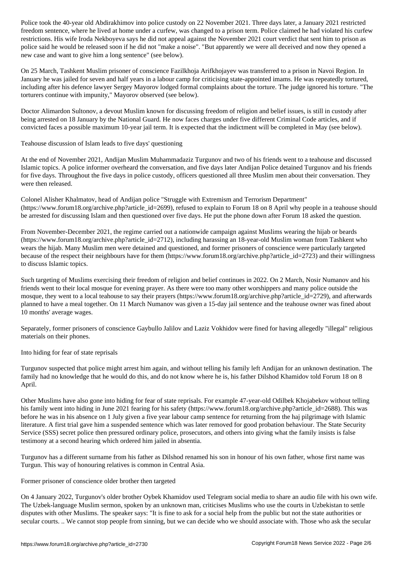freedom sentence, was changed at home under a current  $\mu$  prison term. Points can principal violated his current  $\mu$ restrictions. His wife Iroda Nekboyeva says he did not appeal against the November 2021 court verdict that sent him to prison as police said he would be released soon if he did not "make a noise". "But apparently we were all deceived and now they opened a new case and want to give him a long sentence" (see below).

On 25 March, Tashkent Muslim prisoner of conscience Fazilkhoja Arifkhojayev was transferred to a prison in Navoi Region. In January he was jailed for seven and half years in a labour camp for criticising state-appointed imams. He was repeatedly tortured, including after his defence lawyer Sergey Mayorov lodged formal complaints about the torture. The judge ignored his torture. "The torturers continue with impunity," Mayorov observed (see below).

Doctor Alimardon Sultonov, a devout Muslim known for discussing freedom of religion and belief issues, is still in custody after being arrested on 18 January by the National Guard. He now faces charges under five different Criminal Code articles, and if convicted faces a possible maximum 10-year jail term. It is expected that the indictment will be completed in May (see below).

Teahouse discussion of Islam leads to five days' questioning

At the end of November 2021, Andijan Muslim Muhammadaziz Turgunov and two of his friends went to a teahouse and discussed Islamic topics. A police informer overheard the conversation, and five days later Andijan Police detained Turgunov and his friends for five days. Throughout the five days in police custody, officers questioned all three Muslim men about their conversation. They were then released.

Colonel Alisher Khalmatov, head of Andijan police "Struggle with Extremism and Terrorism Department" (https://www.forum18.org/archive.php?article\_id=2699), refused to explain to Forum 18 on 8 April why people in a teahouse should be arrested for discussing Islam and then questioned over five days. He put the phone down after Forum 18 asked the question.

From November-December 2021, the regime carried out a nationwide campaign against Muslims wearing the hijab or beards (https://www.forum18.org/archive.php?article\_id=2712), including harassing an 18-year-old Muslim woman from Tashkent who wears the hijab. Many Muslim men were detained and questioned, and former prisoners of conscience were particularly targeted because of the respect their neighbours have for them (https://www.forum18.org/archive.php?article\_id=2723) and their willingness to discuss Islamic topics.

Such targeting of Muslims exercising their freedom of religion and belief continues in 2022. On 2 March, Nosir Numanov and his friends went to their local mosque for evening prayer. As there were too many other worshippers and many police outside the mosque, they went to a local teahouse to say their prayers (https://www.forum18.org/archive.php?article\_id=2729), and afterwards planned to have a meal together. On 11 March Numanov was given a 15-day jail sentence and the teahouse owner was fined about 10 months' average wages.

Separately, former prisoners of conscience Gaybullo Jalilov and Laziz Vokhidov were fined for having allegedly "illegal" religious materials on their phones.

Into hiding for fear of state reprisals

Turgunov suspected that police might arrest him again, and without telling his family left Andijan for an unknown destination. The family had no knowledge that he would do this, and do not know where he is, his father Dilshod Khamidov told Forum 18 on 8 April.

Other Muslims have also gone into hiding for fear of state reprisals. For example 47-year-old Odilbek Khojabekov without telling his family went into hiding in June 2021 fearing for his safety (https://www.forum18.org/archive.php?article\_id=2688). This was before he was in his absence on 1 July given a five year labour camp sentence for returning from the haj pilgrimage with Islamic literature. A first trial gave him a suspended sentence which was later removed for good probation behaviour. The State Security Service (SSS) secret police then pressured ordinary police, prosecutors, and others into giving what the family insists is false testimony at a second hearing which ordered him jailed in absentia.

Turgunov has a different surname from his father as Dilshod renamed his son in honour of his own father, whose first name was Turgun. This way of honouring relatives is common in Central Asia.

Former prisoner of conscience older brother then targeted

On 4 January 2022, Turgunov's older brother Oybek Khamidov used Telegram social media to share an audio file with his own wife. The Uzbek-language Muslim sermon, spoken by an unknown man, criticises Muslims who use the courts in Uzbekistan to settle disputes with other Muslims. The speaker says: "It is fine to ask for a social help from the public but not the state authorities or secular courts. .. We cannot stop people from sinning, but we can decide who we should associate with. Those who ask the secular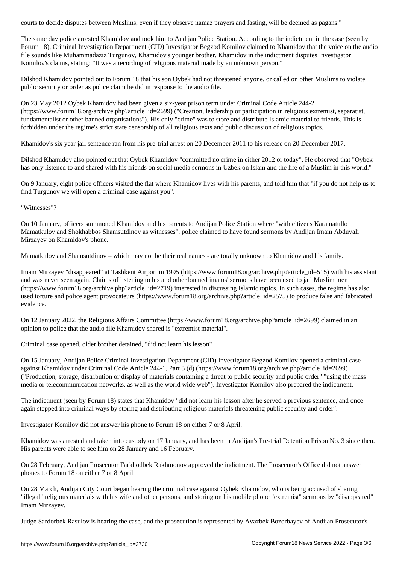The same day police arrested Khamidov and took him to Andijan Police Station. According to the indictment in the case (seen by Forum 18), Criminal Investigation Department (CID) Investigator Begzod Komilov claimed to Khamidov that the voice on the audio file sounds like Muhammadaziz Turgunov, Khamidov's younger brother. Khamidov in the indictment disputes Investigator Komilov's claims, stating: "It was a recording of religious material made by an unknown person."

Dilshod Khamidov pointed out to Forum 18 that his son Oybek had not threatened anyone, or called on other Muslims to violate public security or order as police claim he did in response to the audio file.

On 23 May 2012 Oybek Khamidov had been given a six-year prison term under Criminal Code Article 244-2 (https://www.forum18.org/archive.php?article\_id=2699) ("Creation, leadership or participation in religious extremist, separatist, fundamentalist or other banned organisations"). His only "crime" was to store and distribute Islamic material to friends. This is forbidden under the regime's strict state censorship of all religious texts and public discussion of religious topics.

Khamidov's six year jail sentence ran from his pre-trial arrest on 20 December 2011 to his release on 20 December 2017.

Dilshod Khamidov also pointed out that Oybek Khamidov "committed no crime in either 2012 or today". He observed that "Oybek has only listened to and shared with his friends on social media sermons in Uzbek on Islam and the life of a Muslim in this world."

On 9 January, eight police officers visited the flat where Khamidov lives with his parents, and told him that "if you do not help us to find Turgunov we will open a criminal case against you".

"Witnesses"?

On 10 January, officers summoned Khamidov and his parents to Andijan Police Station where "with citizens Karamatullo Mamatkulov and Shokhabbos Shamsutdinov as witnesses", police claimed to have found sermons by Andijan Imam Abduvali Mirzayev on Khamidov's phone.

Mamatkulov and Shamsutdinov – which may not be their real names - are totally unknown to Khamidov and his family.

Imam Mirzayev "disappeared" at Tashkent Airport in 1995 (https://www.forum18.org/archive.php?article\_id=515) with his assistant and was never seen again. Claims of listening to his and other banned imams' sermons have been used to jail Muslim men (https://www.forum18.org/archive.php?article\_id=2719) interested in discussing Islamic topics. In such cases, the regime has also used torture and police agent provocateurs (https://www.forum18.org/archive.php?article\_id=2575) to produce false and fabricated evidence.

On 12 January 2022, the Religious Affairs Committee (https://www.forum18.org/archive.php?article\_id=2699) claimed in an opinion to police that the audio file Khamidov shared is "extremist material".

Criminal case opened, older brother detained, "did not learn his lesson"

On 15 January, Andijan Police Criminal Investigation Department (CID) Investigator Begzod Komilov opened a criminal case against Khamidov under Criminal Code Article 244-1, Part 3 (d) (https://www.forum18.org/archive.php?article\_id=2699) ("Production, storage, distribution or display of materials containing a threat to public security and public order" "using the mass media or telecommunication networks, as well as the world wide web"). Investigator Komilov also prepared the indictment.

The indictment (seen by Forum 18) states that Khamidov "did not learn his lesson after he served a previous sentence, and once again stepped into criminal ways by storing and distributing religious materials threatening public security and order".

Investigator Komilov did not answer his phone to Forum 18 on either 7 or 8 April.

Khamidov was arrested and taken into custody on 17 January, and has been in Andijan's Pre-trial Detention Prison No. 3 since then. His parents were able to see him on 28 January and 16 February.

On 28 February, Andijan Prosecutor Farkhodbek Rakhmonov approved the indictment. The Prosecutor's Office did not answer phones to Forum 18 on either 7 or 8 April.

On 28 March, Andijan City Court began hearing the criminal case against Oybek Khamidov, who is being accused of sharing "illegal" religious materials with his wife and other persons, and storing on his mobile phone "extremist" sermons by "disappeared" Imam Mirzayev.

Judge Sardorbek Rasulov is hearing the case, and the prosecution is represented by Avazbek Bozorbayev of Andijan Prosecutor's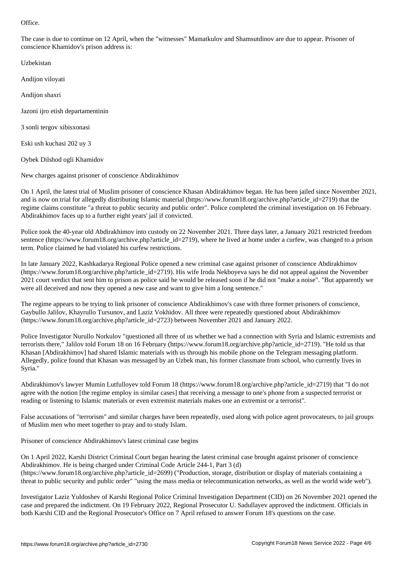The case is due to continue on 12 April, when the "witnesses" Mamatkulov and Shamsutdinov are due to appear. Prisoner of conscience Khamidov's prison address is:

Uzbekistan

Andijon viloyati

Andijon shaxri

Jazoni ijro etish departamentinin

3 sonli tergov xibisxonasi

Eski ush kuchasi 202 uy 3

Oybek Dilshod ogli Khamidov

New charges against prisoner of conscience Abdirakhimov

On 1 April, the latest trial of Muslim prisoner of conscience Khasan Abdirakhimov began. He has been jailed since November 2021, and is now on trial for allegedly distributing Islamic material (https://www.forum18.org/archive.php?article\_id=2719) that the regime claims constitute "a threat to public security and public order". Police completed the criminal investigation on 16 February. Abdirakhimov faces up to a further eight years' jail if convicted.

Police took the 40-year old Abdirakhimov into custody on 22 November 2021. Three days later, a January 2021 restricted freedom sentence (https://www.forum18.org/archive.php?article\_id=2719), where he lived at home under a curfew, was changed to a prison term. Police claimed he had violated his curfew restrictions.

In late January 2022, Kashkadarya Regional Police opened a new criminal case against prisoner of conscience Abdirakhimov (https://www.forum18.org/archive.php?article\_id=2719). His wife Iroda Nekboyeva says he did not appeal against the November 2021 court verdict that sent him to prison as police said he would be released soon if he did not "make a noise". "But apparently we were all deceived and now they opened a new case and want to give him a long sentence."

The regime appears to be trying to link prisoner of conscience Abdirakhimov's case with three former prisoners of conscience, Gaybullo Jalilov, Khayrullo Tursunov, and Laziz Vokhidov. All three were repeatedly questioned about Abdirakhimov (https://www.forum18.org/archive.php?article\_id=2723) between November 2021 and January 2022.

Police Investigator Nurullo Norkulov "questioned all three of us whether we had a connection with Syria and Islamic extremists and terrorists there," Jalilov told Forum 18 on 16 February (https://www.forum18.org/archive.php?article\_id=2719). "He told us that Khasan [Abdirakhimov] had shared Islamic materials with us through his mobile phone on the Telegram messaging platform. Allegedly, police found that Khasan was messaged by an Uzbek man, his former classmate from school, who currently lives in Syria."

Abdirakhimov's lawyer Mumin Lutfulloyev told Forum 18 (https://www.forum18.org/archive.php?article\_id=2719) that "I do not agree with the notion [the regime employ in similar cases] that receiving a message to one's phone from a suspected terrorist or reading or listening to Islamic materials or even extremist materials makes one an extremist or a terrorist".

False accusations of "terrorism" and similar charges have been repeatedly, used along with police agent provocateurs, to jail groups of Muslim men who meet together to pray and to study Islam.

Prisoner of conscience Abdirakhimov's latest criminal case begins

On 1 April 2022, Karshi District Criminal Court began hearing the latest criminal case brought against prisoner of conscience Abdirakhimov. He is being charged under Criminal Code Article 244-1, Part 3 (d) (https://www.forum18.org/archive.php?article\_id=2699) ("Production, storage, distribution or display of materials containing a threat to public security and public order" "using the mass media or telecommunication networks, as well as the world wide web").

Investigator Laziz Yuldoshev of Karshi Regional Police Criminal Investigation Department (CID) on 26 November 2021 opened the case and prepared the indictment. On 19 February 2022, Regional Prosecutor U. Sadullayev approved the indictment. Officials in both Karshi CID and the Regional Prosecutor's Office on 7 April refused to answer Forum 18's questions on the case.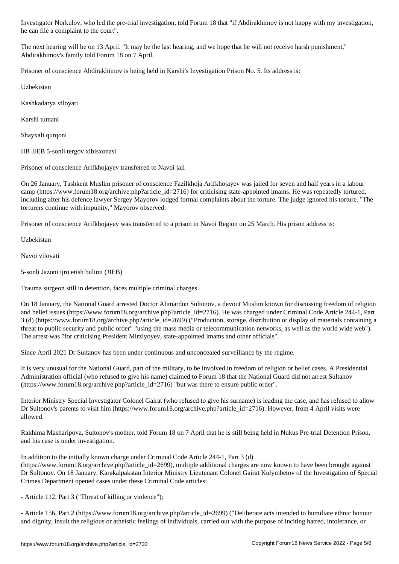The next hearing will be on 13 April. "It may be the last hearing, and we hope that he will not receive harsh punishment," Abdirakhimov's family told Forum 18 on 7 April.

Prisoner of conscience Abdirakhimov is being held in Karshi's Investigation Prison No. 5. Its address is:

Uzbekistan

Kashkadarya viloyati

Karshi tumani

Shayxali qurqoni

IIB JIEB 5-sonli tergov xibisxonasi

he can file a complete a complete a complete a complete a complete a complete a court of the court of the court

Prisoner of conscience Arifkhojayev transferred to Navoi jail

On 26 January, Tashkent Muslim prisoner of conscience Fazilkhoja Arifkhojayev was jailed for seven and half years in a labour camp (https://www.forum18.org/archive.php?article\_id=2716) for criticising state-appointed imams. He was repeatedly tortured, including after his defence lawyer Sergey Mayorov lodged formal complaints about the torture. The judge ignored his torture. "The torturers continue with impunity," Mayorov observed.

Prisoner of conscience Arifkhojayev was transferred to a prison in Navoi Region on 25 March. His prison address is:

Uzbekistan

Navoi viloyati

5-sonli Jazoni ijro etish bulimi (JIEB)

Trauma surgeon still in detention, faces multiple criminal charges

On 18 January, the National Guard arrested Doctor Alimardon Sultonov, a devout Muslim known for discussing freedom of religion and belief issues (https://www.forum18.org/archive.php?article\_id=2716). He was charged under Criminal Code Article 244-1, Part 3 (d) (https://www.forum18.org/archive.php?article\_id=2699) ("Production, storage, distribution or display of materials containing a threat to public security and public order" "using the mass media or telecommunication networks, as well as the world wide web"). The arrest was "for criticising President Mirziyoyev, state-appointed imams and other officials".

Since April 2021 Dr Sultanov has been under continuous and unconcealed surveillance by the regime.

It is very unusual for the National Guard, part of the military, to be involved in freedom of religion or belief cases. A Presidential Administration official (who refused to give his name) claimed to Forum 18 that the National Guard did not arrest Sultanov (https://www.forum18.org/archive.php?article\_id=2716) "but was there to ensure public order".

Interior Ministry Special Investigator Colonel Gairat (who refused to give his surname) is leading the case, and has refused to allow Dr Sultonov's parents to visit him (https://www.forum18.org/archive.php?article\_id=2716). However, from 4 April visits were allowed.

Rakhima Masharipova, Sultonov's mother, told Forum 18 on 7 April that he is still being held in Nukus Pre-trial Detention Prison, and his case is under investigation.

In addition to the initially known charge under Criminal Code Article 244-1, Part 3 (d)

(https://www.forum18.org/archive.php?article\_id=2699), multiple additional charges are now known to have been brought against Dr Sultonov. On 18 January, Karakalpakstan Interior Ministry Lieutenant Colonel Gairat Kulymbetov of the Investigation of Special Crimes Department opened cases under these Criminal Code articles:

- Article 112, Part 3 ("Threat of killing or violence");

- Article 156, Part 2 (https://www.forum18.org/archive.php?article\_id=2699) ("Deliberate acts intended to humiliate ethnic honour and dignity, insult the religious or atheistic feelings of individuals, carried out with the purpose of inciting hatred, intolerance, or